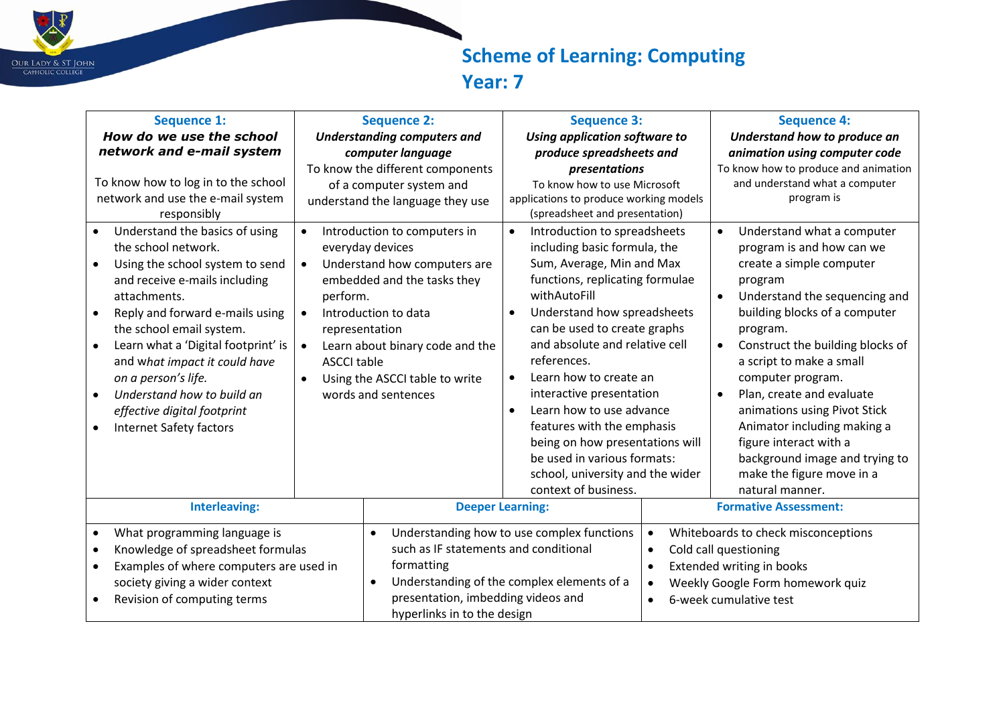

## **Scheme of Learning: Computing Year: 7**

| <b>Sequence 1:</b>                                                                                                                                                                                                                                                                                                                                                                                                               | <b>Sequence 2:</b>                                                                                                                                                                                                                                                                                                                          | <b>Sequence 3:</b>                                                                                                                                                                                                                                                                                                                                                                                                                                                  | <b>Sequence 4:</b>                                                                                                                                                                                                                                                                                                                                                                                                             |
|----------------------------------------------------------------------------------------------------------------------------------------------------------------------------------------------------------------------------------------------------------------------------------------------------------------------------------------------------------------------------------------------------------------------------------|---------------------------------------------------------------------------------------------------------------------------------------------------------------------------------------------------------------------------------------------------------------------------------------------------------------------------------------------|---------------------------------------------------------------------------------------------------------------------------------------------------------------------------------------------------------------------------------------------------------------------------------------------------------------------------------------------------------------------------------------------------------------------------------------------------------------------|--------------------------------------------------------------------------------------------------------------------------------------------------------------------------------------------------------------------------------------------------------------------------------------------------------------------------------------------------------------------------------------------------------------------------------|
| How do we use the school                                                                                                                                                                                                                                                                                                                                                                                                         | <b>Understanding computers and</b>                                                                                                                                                                                                                                                                                                          | Using application software to                                                                                                                                                                                                                                                                                                                                                                                                                                       | Understand how to produce an                                                                                                                                                                                                                                                                                                                                                                                                   |
| network and e-mail system                                                                                                                                                                                                                                                                                                                                                                                                        | computer language                                                                                                                                                                                                                                                                                                                           | produce spreadsheets and                                                                                                                                                                                                                                                                                                                                                                                                                                            | animation using computer code                                                                                                                                                                                                                                                                                                                                                                                                  |
|                                                                                                                                                                                                                                                                                                                                                                                                                                  | To know the different components                                                                                                                                                                                                                                                                                                            | presentations                                                                                                                                                                                                                                                                                                                                                                                                                                                       | To know how to produce and animation                                                                                                                                                                                                                                                                                                                                                                                           |
| To know how to log in to the school                                                                                                                                                                                                                                                                                                                                                                                              | of a computer system and                                                                                                                                                                                                                                                                                                                    | To know how to use Microsoft                                                                                                                                                                                                                                                                                                                                                                                                                                        | and understand what a computer                                                                                                                                                                                                                                                                                                                                                                                                 |
| network and use the e-mail system<br>responsibly                                                                                                                                                                                                                                                                                                                                                                                 | understand the language they use                                                                                                                                                                                                                                                                                                            | applications to produce working models<br>(spreadsheet and presentation)                                                                                                                                                                                                                                                                                                                                                                                            | program is                                                                                                                                                                                                                                                                                                                                                                                                                     |
| Understand the basics of using<br>the school network.<br>Using the school system to send<br>and receive e-mails including<br>attachments.<br>Reply and forward e-mails using<br>$\bullet$<br>the school email system.<br>Learn what a 'Digital footprint' is<br>and what impact it could have<br>on a person's life.<br>Understand how to build an<br>$\bullet$<br>effective digital footprint<br><b>Internet Safety factors</b> | Introduction to computers in<br>$\bullet$<br>everyday devices<br>Understand how computers are<br>$\bullet$<br>embedded and the tasks they<br>perform.<br>Introduction to data<br>$\bullet$<br>representation<br>Learn about binary code and the<br>$\bullet$<br><b>ASCCI table</b><br>Using the ASCCI table to write<br>words and sentences | Introduction to spreadsheets<br>$\bullet$<br>including basic formula, the<br>Sum, Average, Min and Max<br>functions, replicating formulae<br>withAutoFill<br>Understand how spreadsheets<br>$\bullet$<br>can be used to create graphs<br>and absolute and relative cell<br>references.<br>Learn how to create an<br>$\bullet$<br>interactive presentation<br>Learn how to use advance<br>$\bullet$<br>features with the emphasis<br>being on how presentations will | Understand what a computer<br>$\bullet$<br>program is and how can we<br>create a simple computer<br>program<br>Understand the sequencing and<br>building blocks of a computer<br>program.<br>Construct the building blocks of<br>$\bullet$<br>a script to make a small<br>computer program.<br>Plan, create and evaluate<br>$\bullet$<br>animations using Pivot Stick<br>Animator including making a<br>figure interact with a |
|                                                                                                                                                                                                                                                                                                                                                                                                                                  |                                                                                                                                                                                                                                                                                                                                             | be used in various formats:<br>school, university and the wider                                                                                                                                                                                                                                                                                                                                                                                                     | background image and trying to<br>make the figure move in a                                                                                                                                                                                                                                                                                                                                                                    |
| <b>Interleaving:</b>                                                                                                                                                                                                                                                                                                                                                                                                             |                                                                                                                                                                                                                                                                                                                                             | context of business.<br><b>Deeper Learning:</b>                                                                                                                                                                                                                                                                                                                                                                                                                     | natural manner.<br><b>Formative Assessment:</b>                                                                                                                                                                                                                                                                                                                                                                                |
|                                                                                                                                                                                                                                                                                                                                                                                                                                  |                                                                                                                                                                                                                                                                                                                                             |                                                                                                                                                                                                                                                                                                                                                                                                                                                                     |                                                                                                                                                                                                                                                                                                                                                                                                                                |
| What programming language is<br>$\bullet$                                                                                                                                                                                                                                                                                                                                                                                        |                                                                                                                                                                                                                                                                                                                                             | Understanding how to use complex functions<br>$\bullet$                                                                                                                                                                                                                                                                                                                                                                                                             | Whiteboards to check misconceptions                                                                                                                                                                                                                                                                                                                                                                                            |
| Knowledge of spreadsheet formulas                                                                                                                                                                                                                                                                                                                                                                                                | such as IF statements and conditional                                                                                                                                                                                                                                                                                                       | $\bullet$                                                                                                                                                                                                                                                                                                                                                                                                                                                           | Cold call questioning                                                                                                                                                                                                                                                                                                                                                                                                          |
| Examples of where computers are used in                                                                                                                                                                                                                                                                                                                                                                                          | formatting                                                                                                                                                                                                                                                                                                                                  | $\bullet$                                                                                                                                                                                                                                                                                                                                                                                                                                                           | Extended writing in books                                                                                                                                                                                                                                                                                                                                                                                                      |
| society giving a wider context<br>$\bullet$                                                                                                                                                                                                                                                                                                                                                                                      |                                                                                                                                                                                                                                                                                                                                             | Understanding of the complex elements of a                                                                                                                                                                                                                                                                                                                                                                                                                          | Weekly Google Form homework quiz                                                                                                                                                                                                                                                                                                                                                                                               |
| Revision of computing terms                                                                                                                                                                                                                                                                                                                                                                                                      | presentation, imbedding videos and<br>hyperlinks in to the design                                                                                                                                                                                                                                                                           | $\bullet$                                                                                                                                                                                                                                                                                                                                                                                                                                                           | 6-week cumulative test                                                                                                                                                                                                                                                                                                                                                                                                         |